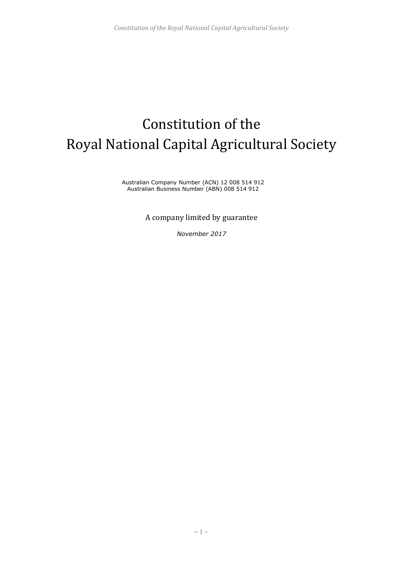# Constitution of the Royal National Capital Agricultural Society

Australian Company Number (ACN) 12 008 514 912 Australian Business Number (ABN) 008 514 912

A company limited by guarantee

*November 2017*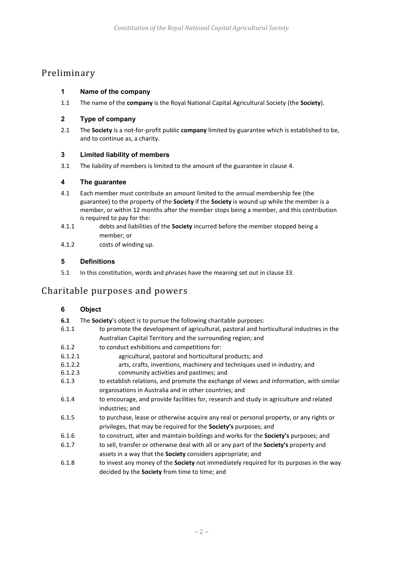# Preliminary

### <span id="page-1-2"></span>**1 Name of the company**

1.1 The name of the **company** is the Royal National Capital Agricultural Society (the **Society**).

#### **2 Type of company**

2.1 The **Society** is a not-for-profit public **company** limited by guarantee which is established to be, and to continue as, a charity.

#### **3 Limited liability of members**

3.1 The liability of members is limited to the amount of the guarantee in clause [4.](#page-1-0)

#### <span id="page-1-0"></span>**4 The guarantee**

- 4.1 Each member must contribute an amount limited to the annual membership fee (the guarantee) to the property of the **Society** if the **Society** is wound up while the member is a member, or within 12 months after the member stops being a member, and this contribution is required to pay for the:
- 4.1.1 debts and liabilities of the **Society** incurred before the member stopped being a member; or
- 4.1.2 costs of winding up.

#### **5 Definitions**

5.1 In this constitution, words and phrases have the meaning set out in clause 33.

# Charitable purposes and powers

#### <span id="page-1-1"></span>**6 Object**

- **6.1** The **Society**'s object is to pursue the following charitable purposes:
- 6.1.1 to promote the development of agricultural, pastoral and horticultural industries in the Australian Capital Territory and the surrounding region; and
- 6.1.2 to conduct exhibitions and competitions for:
- 6.1.2.1 agricultural, pastoral and horticultural products; and
- 6.1.2.2 arts, crafts, inventions, machinery and techniques used in industry; and
- 6.1.2.3 community activities and pastimes; and
- 6.1.3 to establish relations, and promote the exchange of views and information, with similar organisations in Australia and in other countries; and
- 6.1.4 to encourage, and provide facilities for, research and study in agriculture and related industries; and
- 6.1.5 to purchase, lease or otherwise acquire any real or personal property, or any rights or privileges, that may be required for the **Society's** purposes; and
- 6.1.6 to construct, alter and maintain buildings and works for the **Society's** purposes; and
- 6.1.7 to sell, transfer or otherwise deal with all or any part of the **Society's** property and assets in a way that the **Society** considers appropriate; and
- 6.1.8 to invest any money of the **Society** not immediately required for its purposes in the way decided by the **Society** from time to time; and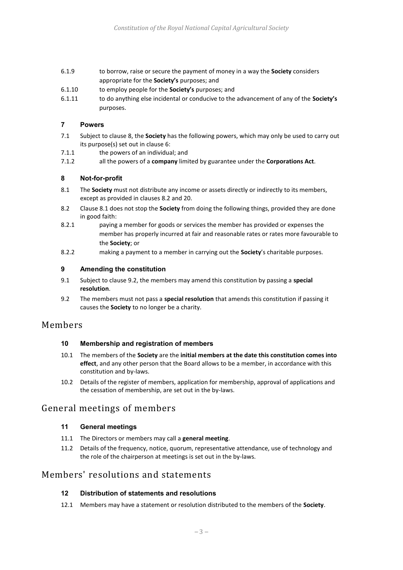- 6.1.9 to borrow, raise or secure the payment of money in a way the **Society** considers appropriate for the **Society's** purposes; and
- 6.1.10 to employ people for the **Society's** purposes; and
- 6.1.11 to do anything else incidental or conducive to the advancement of any of the **Society's** purposes.

#### **7 Powers**

- 7.1 Subject to clause [8,](#page-2-0) the **Society** has the following powers, which may only be used to carry out its purpose(s) set out in clause [6:](#page-1-1)
- 7.1.1 the powers of an individual; and
- 7.1.2 all the powers of a **company** limited by guarantee under the **Corporations Act**.

#### <span id="page-2-0"></span>**8 Not-for-profit**

- <span id="page-2-2"></span>8.1 The **Society** must not distribute any income or assets directly or indirectly to its members, except as provided in clause[s 8.2](#page-2-1) and 20.
- <span id="page-2-1"></span>8.2 Clause [8.1](#page-2-2) does not stop the **Society** from doing the following things, provided they are done in good faith:
- 8.2.1 paying a member for goods or services the member has provided or expenses the member has properly incurred at fair and reasonable rates or rates more favourable to the **Society**; or
- 8.2.2 making a payment to a member in carrying out the **Society**'s charitable purposes.

#### **9 Amending the constitution**

- 9.1 Subject to clause [9.2,](#page-2-3) the members may amend this constitution by passing a **special resolution**.
- <span id="page-2-3"></span>9.2 The members must not pass a **special resolution** that amends this constitution if passing it causes the **Society** to no longer be a charity.

#### Members

#### **10 Membership and registration of members**

- 10.1 The members of the **Society** are the **initial members at the date this constitution comes into effect**, and any other person that the Board allows to be a member, in accordance with this constitution and by-laws.
- 10.2 Details of the register of members, application for membership, approval of applications and the cessation of membership, are set out in the by-laws.

## General meetings of members

#### **11 General meetings**

- 11.1 The Directors or members may call a **general meeting**.
- 11.2 Details of the frequency, notice, quorum, representative attendance, use of technology and the role of the chairperson at meetings is set out in the by-laws.

## Members' resolutions and statements

#### **12 Distribution of statements and resolutions**

12.1 Members may have a statement or resolution distributed to the members of the **Society**.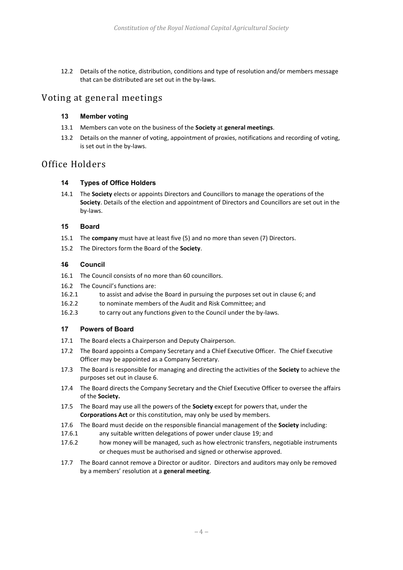12.2 Details of the notice, distribution, conditions and type of resolution and/or members message that can be distributed are set out in the by-laws.

## Voting at general meetings

#### **13 Member voting**

- 13.1 Members can vote on the business of the **Society** at **general meetings**.
- 13.2 Details on the manner of voting, appointment of proxies, notifications and recording of voting, is set out in the by-laws.

## Office Holders

#### **14 Types of Office Holders**

14.1 The **Society** elects or appoints Directors and Councillors to manage the operations of the **Society**. Details of the election and appointment of Directors and Councillors are set out in the by-laws.

#### **15 Board**

- 15.1 The **company** must have at least five (5) and no more than seven (7) Directors.
- 15.2 The Directors form the Board of the **Society**.

#### **16 Council**

- 16.1 The Council consists of no more than 60 councillors.
- 16.2 The Council's functions are:
- 16.2.1 to assist and advise the Board in pursuing the purposes set out in clause 6; and
- 16.2.2 to nominate members of the Audit and Risk Committee; and
- 16.2.3 to carry out any functions given to the Council under the by-laws.

#### **17 Powers of Board**

- 17.1 The Board elects a Chairperson and Deputy Chairperson.
- 17.2 The Board appoints a Company Secretary and a Chief Executive Officer. The Chief Executive Officer may be appointed as a Company Secretary.
- 17.3 The Board is responsible for managing and directing the activities of the **Society** to achieve the purposes set out in clause 6.
- 17.4 The Board directs the Company Secretary and the Chief Executive Officer to oversee the affairs of the **Society.**
- 17.5 The Board may use all the powers of the **Society** except for powers that, under the **Corporations Act** or this constitution, may only be used by members.
- 17.6 The Board must decide on the responsible financial management of the **Society** including:
- 17.6.1 any suitable written delegations of power under clause [19;](#page-4-0) and
- 17.6.2 how money will be managed, such as how electronic transfers, negotiable instruments or cheques must be authorised and signed or otherwise approved.
- 17.7 The Board cannot remove a Director or auditor. Directors and auditors may only be removed by a members' resolution at a **general meeting**.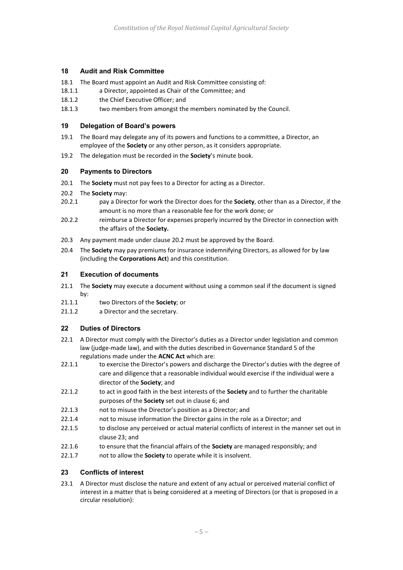#### **18 Audit and Risk Committee**

- 18.1 The Board must appoint an Audit and Risk Committee consisting of:
- 18.1.1 a Director, appointed as Chair of the Committee; and
- 18.1.2 the Chief Executive Officer; and
- 18.1.3 two members from amongst the members nominated by the Council.

#### <span id="page-4-0"></span>**19 Delegation of Board's powers**

- 19.1 The Board may delegate any of its powers and functions to a committee, a Director, an employee of the **Society** or any other person, as it considers appropriate.
- 19.2 The delegation must be recorded in the **Society**'s minute book.

#### **20 Payments to Directors**

- 20.1 The **Society** must not pay fees to a Director for acting as a Director.
- <span id="page-4-1"></span>20.2 The **Society** may:
- 20.2.1 pay a Director for work the Director does for the **Society**, other than as a Director, if the amount is no more than a reasonable fee for the work done; or
- 20.2.2 reimburse a Director for expenses properly incurred by the Director in connection with the affairs of the **Society.**
- 20.3 Any payment made under clause [20.2](#page-4-1) must be approved by the Board.
- 20.4 The **Society** may pay premiums for insurance indemnifying Directors, as allowed for by law (including the **Corporations Act**) and this constitution.

#### **21 Execution of documents**

- 21.1 The **Society** may execute a document without using a common seal if the document is signed by:
- 21.1.1 two Directors of the **Society**; or
- 21.1.2 a Director and the secretary.

#### **22 Duties of Directors**

- 22.1 A Director must comply with the Director's duties as a Director under legislation and common law (judge-made law), and with the duties described in Governance Standard 5 of the regulations made under the **ACNC Act** which are:
- 22.1.1 to exercise the Director's powers and discharge the Director's duties with the degree of care and diligence that a reasonable individual would exercise if the individual were a director of the **Society**; and
- 22.1.2 to act in good faith in the best interests of the **Society** and to further the charitable purposes of the **Society** set out in clause 6; and
- 22.1.3 not to misuse the Director's position as a Director; and
- 22.1.4 not to misuse information the Director gains in the role as a Director; and
- 22.1.5 to disclose any perceived or actual material conflicts of interest in the manner set out in claus[e 23;](#page-4-2) and
- 22.1.6 to ensure that the financial affairs of the **Society** are managed responsibly; and
- 22.1.7 not to allow the **Society** to operate while it is insolvent.

#### <span id="page-4-2"></span>**23 Conflicts of interest**

23.1 A Director must disclose the nature and extent of any actual or perceived material conflict of interest in a matter that is being considered at a meeting of Directors (or that is proposed in a circular resolution):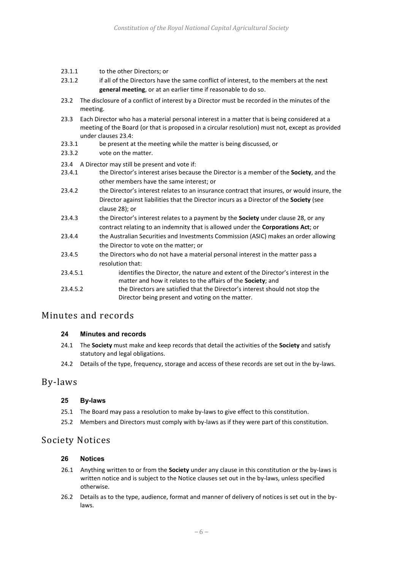- 23.1.1 to the other Directors; or
- 23.1.2 if all of the Directors have the same conflict of interest, to the members at the next **general meeting**, or at an earlier time if reasonable to do so.
- 23.2 The disclosure of a conflict of interest by a Director must be recorded in the minutes of the meeting.
- 23.3 Each Director who has a material personal interest in a matter that is being considered at a meeting of the Board (or that is proposed in a circular resolution) must not, except as provided under clause[s 23.4:](#page-5-0)
- 23.3.1 be present at the meeting while the matter is being discussed, or
- 23.3.2 vote on the matter.
- <span id="page-5-0"></span>23.4 A Director may still be present and vote if:
- 23.4.1 the Director's interest arises because the Director is a member of the **Society**, and the other members have the same interest; or
- 23.4.2 the Director's interest relates to an insurance contract that insures, or would insure, the Director against liabilities that the Director incurs as a Director of the **Society** (see clause 28); or
- 23.4.3 the Director's interest relates to a payment by the **Society** under clause 28, or any contract relating to an indemnity that is allowed under the **Corporations Act**; or
- 23.4.4 the Australian Securities and Investments Commission (ASIC) makes an order allowing the Director to vote on the matter; or
- 23.4.5 the Directors who do not have a material personal interest in the matter pass a resolution that:
- 23.4.5.1 identifies the Director, the nature and extent of the Director's interest in the matter and how it relates to the affairs of the **Society**; and
- 23.4.5.2 the Directors are satisfied that the Director's interest should not stop the Director being present and voting on the matter.

# Minutes and records

#### **24 Minutes and records**

- 24.1 The **Society** must make and keep records that detail the activities of the **Society** and satisfy statutory and legal obligations.
- 24.2 Details of the type, frequency, storage and access of these records are set out in the by-laws.

## By-laws

#### **25 By-laws**

- 25.1 The Board may pass a resolution to make by-laws to give effect to this constitution.
- 25.2 Members and Directors must comply with by-laws as if they were part of this constitution.

## Society Notices

#### **26 Notices**

- 26.1 Anything written to or from the **Society** under any clause in this constitution or the by-laws is written notice and is subject to the Notice clauses set out in the by-laws, unless specified otherwise.
- 26.2 Details as to the type, audience, format and manner of delivery of notices is set out in the bylaws.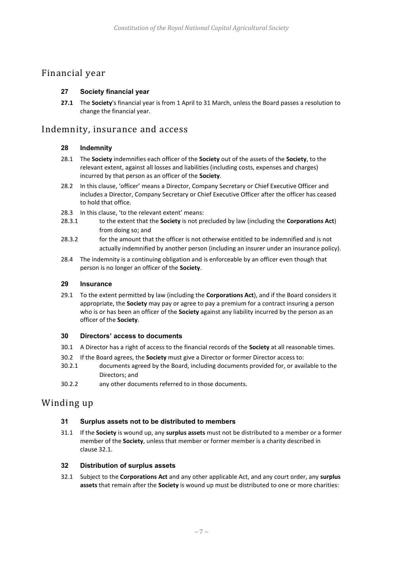# Financial year

#### **27 Society financial year**

**27.1** The **Society**'s financial year is from 1 April to 31 March, unless the Board passes a resolution to change the financial year.

## Indemnity, insurance and access

#### **28 Indemnity**

- 28.1 The **Society** indemnifies each officer of the **Society** out of the assets of the **Society**, to the relevant extent, against all losses and liabilities (including costs, expenses and charges) incurred by that person as an officer of the **Society**.
- 28.2 In this clause, 'officer' means a Director, Company Secretary or Chief Executive Officer and includes a Director, Company Secretary or Chief Executive Officer after the officer has ceased to hold that office.
- 28.3 In this clause, 'to the relevant extent' means:
- 28.3.1 to the extent that the **Society** is not precluded by law (including the **Corporations Act**) from doing so; and
- 28.3.2 for the amount that the officer is not otherwise entitled to be indemnified and is not actually indemnified by another person (including an insurer under an insurance policy).
- 28.4 The indemnity is a continuing obligation and is enforceable by an officer even though that person is no longer an officer of the **Society**.

#### **29 Insurance**

29.1 To the extent permitted by law (including the **Corporations Act**), and if the Board considers it appropriate, the **Society** may pay or agree to pay a premium for a contract insuring a person who is or has been an officer of the **Society** against any liability incurred by the person as an officer of the **Society**.

#### **30 Directors' access to documents**

- 30.1 A Director has a right of access to the financial records of the **Society** at all reasonable times.
- 30.2 If the Board agrees, the **Society** must give a Director or former Director access to:
- 30.2.1 documents agreed by the Board, including documents provided for, or available to the Directors; and
- 30.2.2 any other documents referred to in those documents.

## Winding up

#### **31 Surplus assets not to be distributed to members**

31.1 If the **Society** is wound up, any **surplus assets** must not be distributed to a member or a former member of the **Society**, unless that member or former member is a charity described in clause 32.1.

#### **32 Distribution of surplus assets**

32.1 Subject to the **Corporations Act** and any other applicable Act, and any court order, any **surplus assets** that remain after the **Society** is wound up must be distributed to one or more charities: